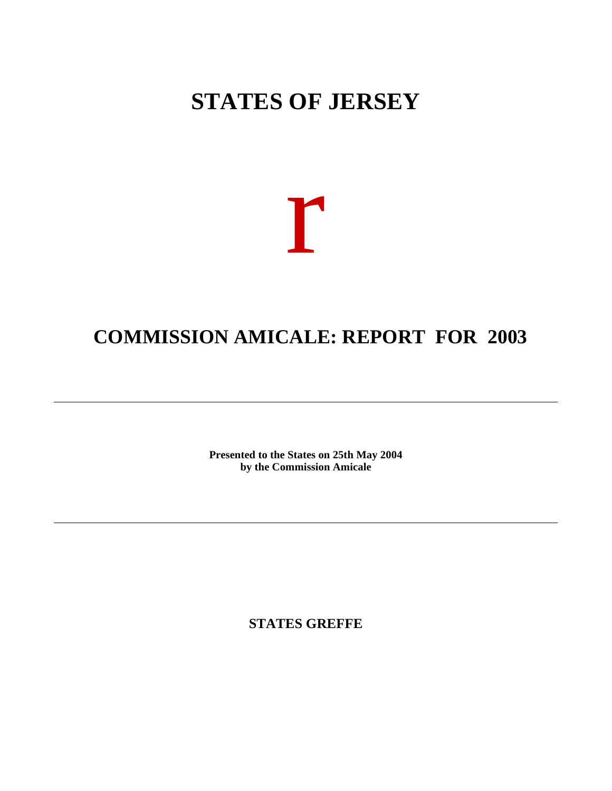# **STATES OF JERSEY**

# r

# **COMMISSION AMICALE: REPORT FOR 2003**

**Presented to the States on 25th May 2004 by the Commission Amicale**

**STATES GREFFE**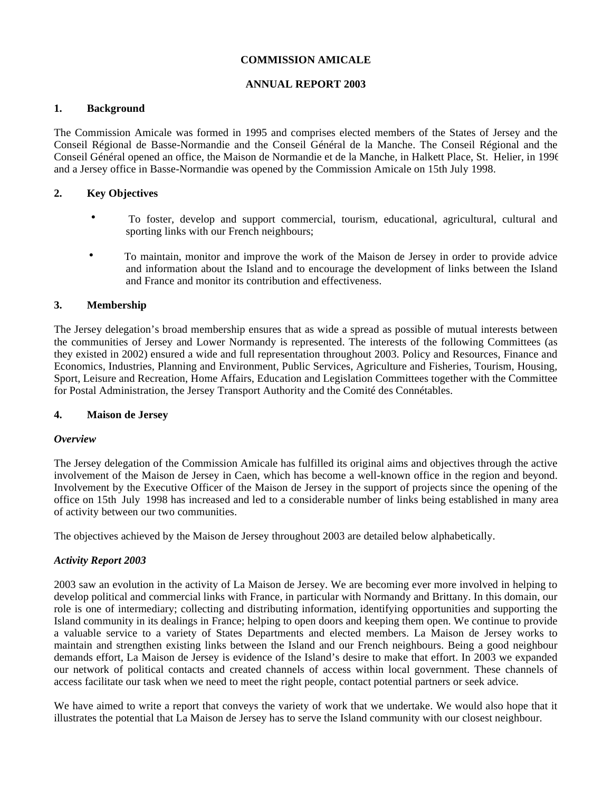# **COMMISSION AMICALE**

# **ANNUAL REPORT 2003**

# **1. Background**

The Commission Amicale was formed in 1995 and comprises elected members of the States of Jersey and the Conseil Régional de Basse-Normandie and the Conseil Général de la Manche. The Conseil Régional and the Conseil Général opened an office, the Maison de Normandie et de la Manche, in Halkett Place, St. Helier, in 1996 and a Jersey office in Basse-Normandie was opened by the Commission Amicale on 15th July 1998.

# **2. Key Objectives**

- To foster, develop and support commercial, tourism, educational, agricultural, cultural and sporting links with our French neighbours;
- To maintain, monitor and improve the work of the Maison de Jersey in order to provide advice and information about the Island and to encourage the development of links between the Island and France and monitor its contribution and effectiveness.

# **3. Membership**

The Jersey delegation's broad membership ensures that as wide a spread as possible of mutual interests between the communities of Jersey and Lower Normandy is represented. The interests of the following Committees (as they existed in 2002) ensured a wide and full representation throughout 2003. Policy and Resources, Finance and Economics, Industries, Planning and Environment, Public Services, Agriculture and Fisheries, Tourism, Housing, Sport, Leisure and Recreation, Home Affairs, Education and Legislation Committees together with the Committee for Postal Administration, the Jersey Transport Authority and the Comité des Connétables.

# **4. Maison de Jersey**

# *Overview*

The Jersey delegation of the Commission Amicale has fulfilled its original aims and objectives through the active involvement of the Maison de Jersey in Caen, which has become a well-known office in the region and beyond. Involvement by the Executive Officer of the Maison de Jersey in the support of projects since the opening of the office on 15th July 1998 has increased and led to a considerable number of links being established in many area of activity between our two communities.

The objectives achieved by the Maison de Jersey throughout 2003 are detailed below alphabetically.

# *Activity Report 2003*

2003 saw an evolution in the activity of La Maison de Jersey. We are becoming ever more involved in helping to develop political and commercial links with France, in particular with Normandy and Brittany. In this domain, our role is one of intermediary; collecting and distributing information, identifying opportunities and supporting the Island community in its dealings in France; helping to open doors and keeping them open. We continue to provide a valuable service to a variety of States Departments and elected members. La Maison de Jersey works to maintain and strengthen existing links between the Island and our French neighbours. Being a good neighbour demands effort, La Maison de Jersey is evidence of the Island's desire to make that effort. In 2003 we expanded our network of political contacts and created channels of access within local government. These channels of access facilitate our task when we need to meet the right people, contact potential partners or seek advice.

We have aimed to write a report that conveys the variety of work that we undertake. We would also hope that it illustrates the potential that La Maison de Jersey has to serve the Island community with our closest neighbour.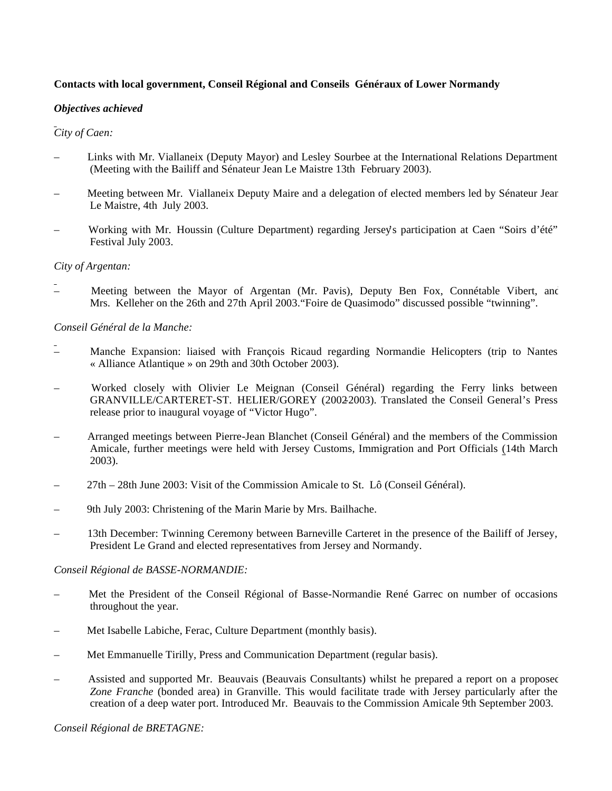# **Contacts with local government, Conseil Régional and Conseils Généraux of Lower Normandy**

#### *Objectives achieved*

# *City of Caen:*

- Links with Mr. Viallaneix (Deputy Mayor) and Lesley Sourbee at the International Relations Department (Meeting with the Bailiff and Sénateur Jean Le Maistre 13th February 2003).
- Meeting between Mr. Viallaneix Deputy Maire and a delegation of elected members led by Sénateur Jean Le Maistre, 4th July 2003.
- Working with Mr. Houssin (Culture Department) regarding Jersey's participation at Caen "Soirs d'été" Festival July 2003.

#### *City of Argentan:*

Meeting between the Mayor of Argentan (Mr. Pavis), Deputy Ben Fox, Connétable Vibert, and Mrs. Kelleher on the 26th and 27th April 2003."Foire de Quasimodo" discussed possible "twinning".

# *Conseil Général de la Manche:*

- Manche Expansion: liaised with François Ricaud regarding Normandie Helicopters (trip to Nantes « Alliance Atlantique » on 29th and 30th October 2003).
- Worked closely with Olivier Le Meignan (Conseil Général) regarding the Ferry links between GRANVILLE/CARTERET-ST. HELIER/GOREY (2002-2003). Translated the Conseil General's Press release prior to inaugural voyage of "Victor Hugo".
- Arranged meetings between Pierre-Jean Blanchet (Conseil Général) and the members of the Commission Amicale, further meetings were held with Jersey Customs, Immigration and Port Officials (14th March 2003).
- 27th 28th June 2003: Visit of the Commission Amicale to St. Lô (Conseil Général).
- 9th July 2003: Christening of the Marin Marie by Mrs. Bailhache.
- 13th December: Twinning Ceremony between Barneville Carteret in the presence of the Bailiff of Jersey, President Le Grand and elected representatives from Jersey and Normandy.

#### *Conseil Régional de BASSE-NORMANDIE:*

- Met the President of the Conseil Régional of Basse-Normandie René Garrec on number of occasions throughout the year.
- Met Isabelle Labiche, Ferac, Culture Department (monthly basis).
- Met Emmanuelle Tirilly, Press and Communication Department (regular basis).
- Assisted and supported Mr. Beauvais (Beauvais Consultants) whilst he prepared a report on a proposed *Zone Franche* (bonded area) in Granville. This would facilitate trade with Jersey particularly after the creation of a deep water port. Introduced Mr. Beauvais to the Commission Amicale 9th September 2003.

*Conseil Régional de BRETAGNE:*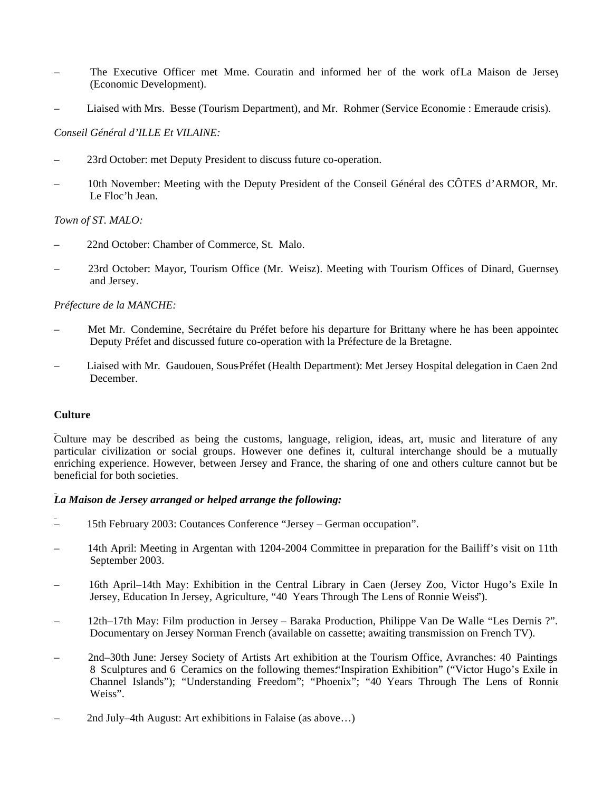- The Executive Officer met Mme. Couratin and informed her of the work ofLa Maison de Jersey (Economic Development).
- Liaised with Mrs. Besse (Tourism Department), and Mr. Rohmer (Service Economie : Emeraude crisis).

# *Conseil Général d'ILLE Et VILAINE:*

- 23rd October: met Deputy President to discuss future co-operation.
- 10th November: Meeting with the Deputy President of the Conseil Général des CÔTES d'ARMOR, Mr. Le Floc'h Jean.

# *Town of ST. MALO:*

- 22nd October: Chamber of Commerce, St. Malo.
- 23rd October: Mayor, Tourism Office (Mr. Weisz). Meeting with Tourism Offices of Dinard, Guernsey and Jersey.

# *Préfecture de la MANCHE:*

- Met Mr. Condemine, Secrétaire du Préfet before his departure for Brittany where he has been appointed Deputy Préfet and discussed future co-operation with la Préfecture de la Bretagne.
- Liaised with Mr. Gaudouen, Sous-Préfet (Health Department): Met Jersey Hospital delegation in Caen 2nd December.

# **Culture**

Culture may be described as being the customs, language, religion, ideas, art, music and literature of any particular civilization or social groups. However one defines it, cultural interchange should be a mutually enriching experience. However, between Jersey and France, the sharing of one and others culture cannot but be beneficial for both societies.

# *La Maison de Jersey arranged or helped arrange the following:*

- 15th February 2003: Coutances Conference "Jersey German occupation".
- 14th April: Meeting in Argentan with 1204-2004 Committee in preparation for the Bailiff's visit on 11th September 2003.
- 16th April–14th May: Exhibition in the Central Library in Caen (Jersey Zoo, Victor Hugo's Exile In Jersey, Education In Jersey, Agriculture, "40 Years Through The Lens of Ronnie Weiss").
- 12th–17th May: Film production in Jersey Baraka Production, Philippe Van De Walle "Les Dernis ?". Documentary on Jersey Norman French (available on cassette; awaiting transmission on French TV).
- 2nd–30th June: Jersey Society of Artists Art exhibition at the Tourism Office, Avranches: 40 Paintings, 8 Sculptures and 6 Ceramics on the following themes:"Inspiration Exhibition" ("Victor Hugo's Exile in Channel Islands"); "Understanding Freedom"; "Phoenix"; "40 Years Through The Lens of Ronnie Weiss".
- 2nd July–4th August: Art exhibitions in Falaise (as above…)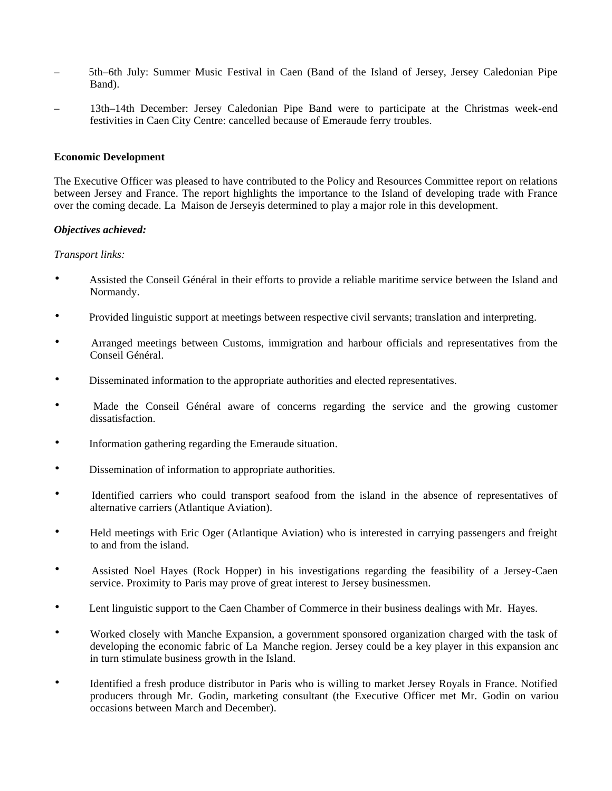- 5th–6th July: Summer Music Festival in Caen (Band of the Island of Jersey, Jersey Caledonian Pipe Band).
- 13th–14th December: Jersey Caledonian Pipe Band were to participate at the Christmas week-end festivities in Caen City Centre: cancelled because of Emeraude ferry troubles.

#### **Economic Development**

The Executive Officer was pleased to have contributed to the Policy and Resources Committee report on relations between Jersey and France. The report highlights the importance to the Island of developing trade with France over the coming decade. La Maison de Jerseyis determined to play a major role in this development.

#### *Objectives achieved:*

#### *Transport links:*

- Assisted the Conseil Général in their efforts to provide a reliable maritime service between the Island and Normandy.
- Provided linguistic support at meetings between respective civil servants; translation and interpreting.
- Arranged meetings between Customs, immigration and harbour officials and representatives from the Conseil Général.
- Disseminated information to the appropriate authorities and elected representatives.
- Made the Conseil Général aware of concerns regarding the service and the growing customer dissatisfaction.
- Information gathering regarding the Emeraude situation.
- Dissemination of information to appropriate authorities.
- Identified carriers who could transport seafood from the island in the absence of representatives of alternative carriers (Atlantique Aviation).
- Held meetings with Eric Oger (Atlantique Aviation) who is interested in carrying passengers and freight to and from the island.
- Assisted Noel Hayes (Rock Hopper) in his investigations regarding the feasibility of a Jersey-Caen service. Proximity to Paris may prove of great interest to Jersey businessmen.
- Lent linguistic support to the Caen Chamber of Commerce in their business dealings with Mr. Hayes.
- Worked closely with Manche Expansion, a government sponsored organization charged with the task of developing the economic fabric of La Manche region. Jersey could be a key player in this expansion and in turn stimulate business growth in the Island.
- Identified a fresh produce distributor in Paris who is willing to market Jersey Royals in France. Notified producers through Mr. Godin, marketing consultant (the Executive Officer met Mr. Godin on various occasions between March and December).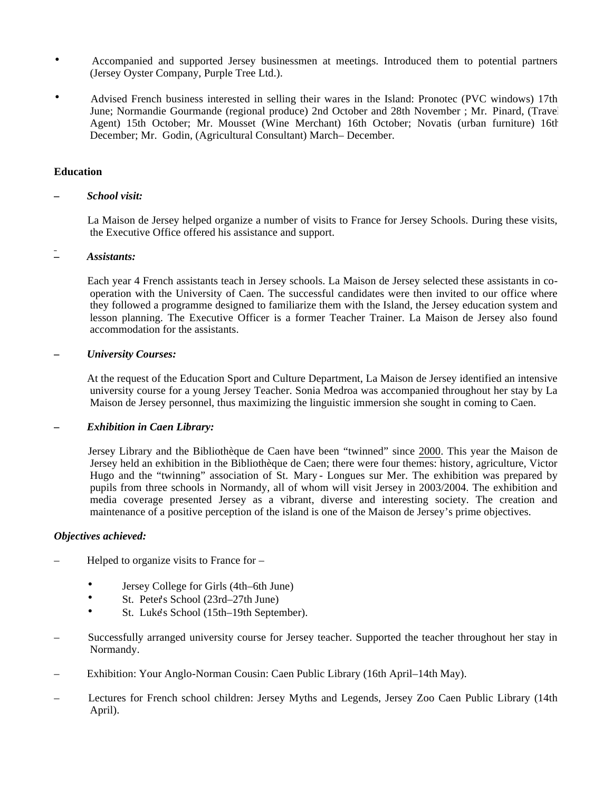- Accompanied and supported Jersey businessmen at meetings. Introduced them to potential partners (Jersey Oyster Company, Purple Tree Ltd.).
- Advised French business interested in selling their wares in the Island: Pronotec (PVC windows) 17th June; Normandie Gourmande (regional produce) 2nd October and 28th November ; Mr. Pinard, (Travel Agent) 15th October; Mr. Mousset (Wine Merchant) 16th October; Novatis (urban furniture) 16th December; Mr. Godin, (Agricultural Consultant) March–December.

#### **Education**

#### *– School visit:*

 La Maison de Jersey helped organize a number of visits to France for Jersey Schools. During these visits, the Executive Office offered his assistance and support.

#### *– Assistants:*

 Each year 4 French assistants teach in Jersey schools. La Maison de Jersey selected these assistants in cooperation with the University of Caen. The successful candidates were then invited to our office where they followed a programme designed to familiarize them with the Island, the Jersey education system and lesson planning. The Executive Officer is a former Teacher Trainer. La Maison de Jersey also found accommodation for the assistants.

#### *– University Courses:*

 At the request of the Education Sport and Culture Department, La Maison de Jersey identified an intensive university course for a young Jersey Teacher. Sonia Medroa was accompanied throughout her stay by La Maison de Jersey personnel, thus maximizing the linguistic immersion she sought in coming to Caen.

#### *– Exhibition in Caen Library:*

 Jersey Library and the Bibliothèque de Caen have been "twinned" since 2000. This year the Maison de Jersey held an exhibition in the Bibliothèque de Caen; there were four themes: history, agriculture, Victor Hugo and the "twinning" association of St. Mary - Longues sur Mer. The exhibition was prepared by pupils from three schools in Normandy, all of whom will visit Jersey in 2003/2004. The exhibition and media coverage presented Jersey as a vibrant, diverse and interesting society. The creation and maintenance of a positive perception of the island is one of the Maison de Jersey's prime objectives.

#### *Objectives achieved:*

- Helped to organize visits to France for
	- Jersey College for Girls (4th–6th June)
	- St. Peter's School (23rd–27th June)
	- St. Luke's School (15th–19th September).
- Successfully arranged university course for Jersey teacher. Supported the teacher throughout her stay in Normandy.
- Exhibition: Your Anglo-Norman Cousin: Caen Public Library (16th April–14th May).
- Lectures for French school children: Jersey Myths and Legends, Jersey Zoo Caen Public Library (14th April).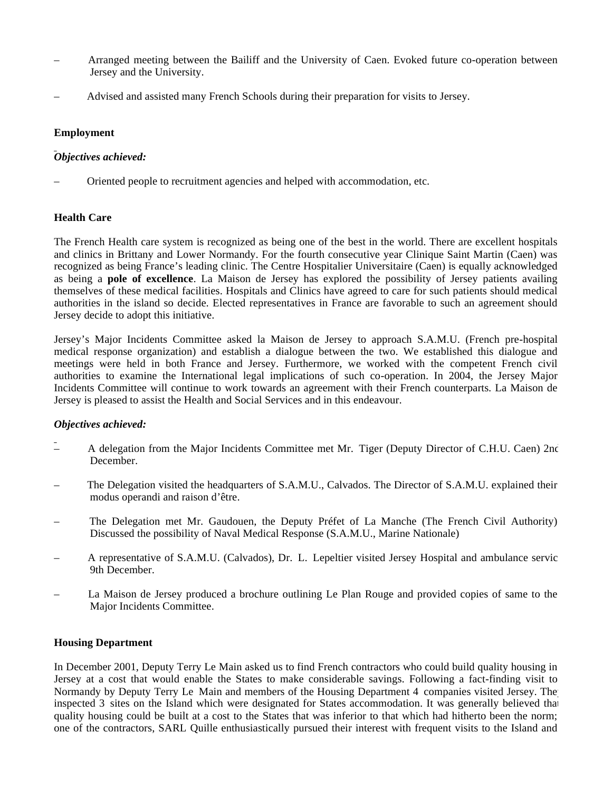- Arranged meeting between the Bailiff and the University of Caen. Evoked future co-operation between Jersey and the University.
- Advised and assisted many French Schools during their preparation for visits to Jersey.

# **Employment**

# *Objectives achieved:*

– Oriented people to recruitment agencies and helped with accommodation, etc.

# **Health Care**

The French Health care system is recognized as being one of the best in the world. There are excellent hospitals and clinics in Brittany and Lower Normandy. For the fourth consecutive year Clinique Saint Martin (Caen) was recognized as being France's leading clinic. The Centre Hospitalier Universitaire (Caen) is equally acknowledged as being a **pole of excellence**. La Maison de Jersey has explored the possibility of Jersey patients availing themselves of these medical facilities. Hospitals and Clinics have agreed to care for such patients should medical authorities in the island so decide. Elected representatives in France are favorable to such an agreement should Jersey decide to adopt this initiative.

Jersey's Major Incidents Committee asked la Maison de Jersey to approach S.A.M.U. (French pre-hospital medical response organization) and establish a dialogue between the two. We established this dialogue and meetings were held in both France and Jersey. Furthermore, we worked with the competent French civil authorities to examine the International legal implications of such co-operation. In 2004, the Jersey Major Incidents Committee will continue to work towards an agreement with their French counterparts. La Maison de Jersey is pleased to assist the Health and Social Services and in this endeavour.

# *Objectives achieved:*

- A delegation from the Major Incidents Committee met Mr. Tiger (Deputy Director of C.H.U. Caen) 2nd December.
- The Delegation visited the headquarters of S.A.M.U., Calvados. The Director of S.A.M.U. explained their modus operandi and raison d'être.
- The Delegation met Mr. Gaudouen, the Deputy Préfet of La Manche (The French Civil Authority). Discussed the possibility of Naval Medical Response (S.A.M.U., Marine Nationale)
- A representative of S.A.M.U. (Calvados), Dr. L. Lepeltier visited Jersey Hospital and ambulance service 9th December.
- La Maison de Jersey produced a brochure outlining Le Plan Rouge and provided copies of same to the Major Incidents Committee.

# **Housing Department**

In December 2001, Deputy Terry Le Main asked us to find French contractors who could build quality housing in Jersey at a cost that would enable the States to make considerable savings. Following a fact-finding visit to Normandy by Deputy Terry Le Main and members of the Housing Department 4 companies visited Jersey. The inspected 3 sites on the Island which were designated for States accommodation. It was generally believed that quality housing could be built at a cost to the States that was inferior to that which had hitherto been the norm; one of the contractors, SARL Quille enthusiastically pursued their interest with frequent visits to the Island and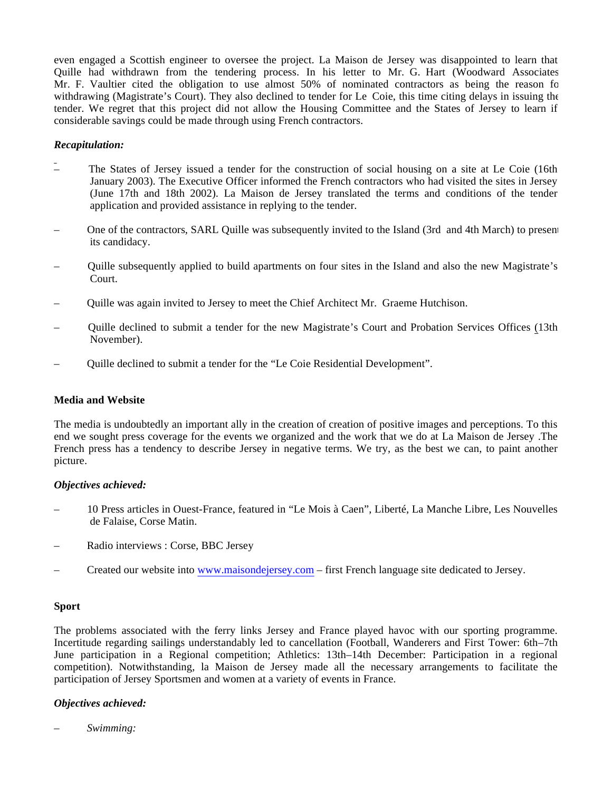even engaged a Scottish engineer to oversee the project. La Maison de Jersey was disappointed to learn that Quille had withdrawn from the tendering process. In his letter to Mr. G. Hart (Woodward Associates) Mr. F. Vaultier cited the obligation to use almost 50% of nominated contractors as being the reason for withdrawing (Magistrate's Court). They also declined to tender for Le Coie, this time citing delays in issuing the tender. We regret that this project did not allow the Housing Committee and the States of Jersey to learn if considerable savings could be made through using French contractors.

#### *Recapitulation:*

- The States of Jersey issued a tender for the construction of social housing on a site at Le Coie (16th January 2003). The Executive Officer informed the French contractors who had visited the sites in Jersey (June 17th and 18th 2002). La Maison de Jersey translated the terms and conditions of the tender application and provided assistance in replying to the tender.
- One of the contractors, SARL Quille was subsequently invited to the Island (3rd and 4th March) to present its candidacy.
- Quille subsequently applied to build apartments on four sites in the Island and also the new Magistrate's Court.
- Quille was again invited to Jersey to meet the Chief Architect Mr. Graeme Hutchison.
- Quille declined to submit a tender for the new Magistrate's Court and Probation Services Offices (13th November).
- Quille declined to submit a tender for the "Le Coie Residential Development".

#### **Media and Website**

The media is undoubtedly an important ally in the creation of creation of positive images and perceptions. To this end we sought press coverage for the events we organized and the work that we do at La Maison de Jersey .The French press has a tendency to describe Jersey in negative terms. We try, as the best we can, to paint another picture.

#### *Objectives achieved:*

- 10 Press articles in Ouest-France, featured in "Le Mois à Caen", Liberté, La Manche Libre, Les Nouvelles de Falaise, Corse Matin.
- Radio interviews : Corse, BBC Jersey
- Created our website into <www.maisondejersey.com> first French language site dedicated to Jersey.

# **Sport**

The problems associated with the ferry links Jersey and France played havoc with our sporting programme. Incertitude regarding sailings understandably led to cancellation (Football, Wanderers and First Tower: 6th–7th June participation in a Regional competition; Athletics: 13th–14th December: Participation in a regional competition). Notwithstanding, la Maison de Jersey made all the necessary arrangements to facilitate the participation of Jersey Sportsmen and women at a variety of events in France.

# *Objectives achieved:*

*– Swimming:*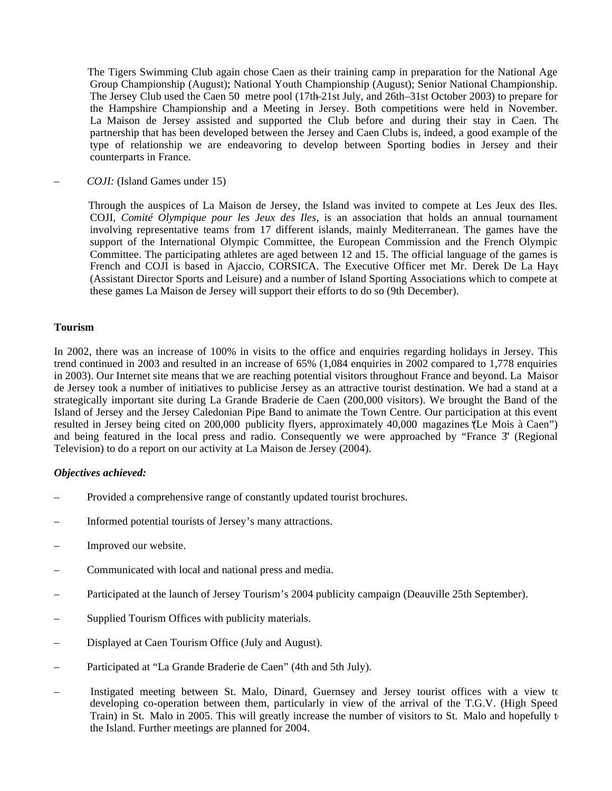The Tigers Swimming Club again chose Caen as their training camp in preparation for the National Age Group Championship (August); National Youth Championship (August); Senior National Championship. The Jersey Club used the Caen 50 metre pool (17th–21st July, and 26th–31st October 2003) to prepare for the Hampshire Championship and a Meeting in Jersey. Both competitions were held in November. La Maison de Jersey assisted and supported the Club before and during their stay in Caen. The partnership that has been developed between the Jersey and Caen Clubs is, indeed, a good example of the type of relationship we are endeavoring to develop between Sporting bodies in Jersey and their counterparts in France.

– *COJI:* (Island Games under 15)

 Through the auspices of La Maison de Jersey, the Island was invited to compete at Les Jeux des Iles. COJI, *Comité Olympique pour les Jeux des Iles*, is an association that holds an annual tournament involving representative teams from 17 different islands, mainly Mediterranean. The games have the support of the International Olympic Committee, the European Commission and the French Olympic Committee. The participating athletes are aged between 12 and 15. The official language of the games is French and COJI is based in Ajaccio, CORSICA. The Executive Officer met Mr. Derek De La Haye (Assistant Director Sports and Leisure) and a number of Island Sporting Associations which to compete at these games La Maison de Jersey will support their efforts to do so (9th December).

#### **Tourism**

In 2002, there was an increase of 100% in visits to the office and enquiries regarding holidays in Jersey. This trend continued in 2003 and resulted in an increase of 65% (1,084 enquiries in 2002 compared to 1,778 enquiries in 2003). Our Internet site means that we are reaching potential visitors throughout France and beyond. La Maison de Jersey took a number of initiatives to publicise Jersey as an attractive tourist destination. We had a stand at a strategically important site during La Grande Braderie de Caen (200,000 visitors). We brought the Band of the Island of Jersey and the Jersey Caledonian Pipe Band to animate the Town Centre. Our participation at this event resulted in Jersey being cited on 200,000 publicity flyers, approximately 40,000 magazines ("Le Mois à Caen") and being featured in the local press and radio. Consequently we were approached by "France 3" (Regional Television) to do a report on our activity at La Maison de Jersey (2004).

#### *Objectives achieved:*

- Provided a comprehensive range of constantly updated tourist brochures.
- Informed potential tourists of Jersey's many attractions.
- Improved our website.
- Communicated with local and national press and media.
- Participated at the launch of Jersey Tourism's 2004 publicity campaign (Deauville 25th September).
- Supplied Tourism Offices with publicity materials.
- Displayed at Caen Tourism Office (July and August).
- Participated at "La Grande Braderie de Caen" (4th and 5th July).
- Instigated meeting between St. Malo, Dinard, Guernsey and Jersey tourist offices with a view to developing co-operation between them, particularly in view of the arrival of the T.G.V. (High Speed Train) in St. Malo in 2005. This will greatly increase the number of visitors to St. Malo and hopefully  $t_0$ the Island. Further meetings are planned for 2004.